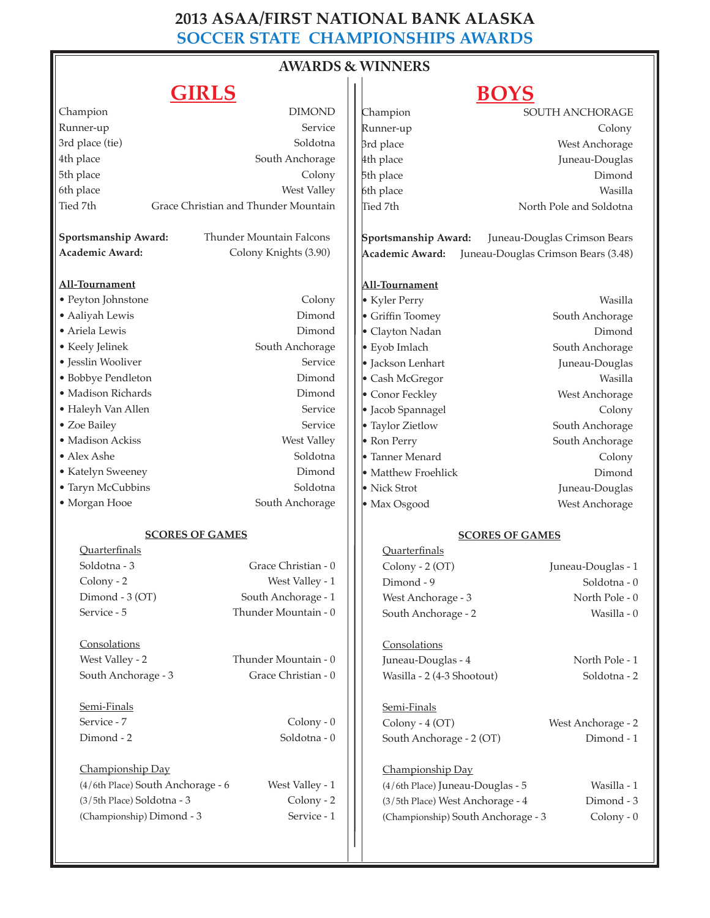### **2013 ASAA/FIRST NATIONAL BANK ALASKA SOCCER STATE CHAMPIONSHIPS AWARDS**

# **AWARDS & WINNERS**

## **GIRLS**

## **BOYS**

| ◞▴▴▴▭◡                                           |                          |                                                        | ◡<br>- -                     |
|--------------------------------------------------|--------------------------|--------------------------------------------------------|------------------------------|
| Champion                                         | <b>DIMOND</b>            | Champion                                               | SOUTH ANCHORAGE              |
| Runner-up                                        | Service                  | Runner-up                                              | Colony                       |
| 3rd place (tie)                                  | Soldotna                 | 3rd place                                              | West Anchorage               |
| 4th place                                        | South Anchorage          | 4th place                                              | Juneau-Douglas               |
| 5th place                                        | Colony                   | 5th place                                              | Dimond                       |
| 6th place                                        | West Valley              | 6th place                                              | Wasilla                      |
| Tied 7th<br>Grace Christian and Thunder Mountain |                          | Tied 7th                                               | North Pole and Soldotna      |
| Sportsmanship Award:                             | Thunder Mountain Falcons | Sportsmanship Award:                                   | Juneau-Douglas Crimson Bears |
| Academic Award:                                  | Colony Knights (3.90)    | Academic Award:<br>Juneau-Douglas Crimson Bears (3.48) |                              |
| All-Tournament                                   |                          | All-Tournament                                         |                              |
| • Peyton Johnstone                               | Colony                   | • Kyler Perry                                          | Wasilla                      |
| · Aaliyah Lewis                                  | Dimond                   | • Griffin Toomey                                       | South Anchorage              |
| · Ariela Lewis                                   | Dimond                   | • Clayton Nadan                                        | Dimond                       |
| • Keely Jelinek                                  | South Anchorage          | · Eyob Imlach                                          | South Anchorage              |
| · Jesslin Wooliver                               | Service                  | · Jackson Lenhart                                      | Juneau-Douglas               |
| • Bobbye Pendleton                               | Dimond                   | • Cash McGregor                                        | Wasilla                      |
| · Madison Richards                               | Dimond                   | • Conor Feckley                                        | West Anchorage               |
| • Haleyh Van Allen                               | Service                  | • Jacob Spannagel                                      | Colony                       |
| • Zoe Bailey                                     | Service                  | • Taylor Zietlow                                       | South Anchorage              |
| · Madison Ackiss                                 | West Valley              | • Ron Perry                                            | South Anchorage              |
| $\bullet$ Alex Ashe                              | Soldotna                 | • Tanner Menard                                        | Colony                       |
| • Katelyn Sweeney                                | Dimond                   | • Matthew Froehlick                                    | Dimond                       |
| • Taryn McCubbins                                | Soldotna                 | • Nick Strot                                           | Juneau-Douglas               |
| • Morgan Hooe                                    | South Anchorage          | • Max Osgood                                           | West Anchorage               |
| <b>SCORES OF GAMES</b>                           |                          | <b>SCORES OF GAMES</b>                                 |                              |
| Ouarterfinals                                    |                          | Quarterfinals                                          |                              |
| Soldotna - 3                                     | Grace Christian - 0      | Colony - 2 (OT)                                        | Juneau-Douglas - 1           |
| Colony - 2                                       | West Valley - 1          | Dimond - 9                                             | Soldotna - 0                 |
| Dimond - 3 (OT)                                  | South Anchorage - 1      | West Anchorage - 3                                     | North Pole - 0               |
| Service - 5                                      | Thunder Mountain - 0     | South Anchorage - 2                                    | Wasilla - 0                  |
| Consolations                                     |                          | Consolations                                           |                              |
| West Valley - 2                                  | Thunder Mountain - 0     | Juneau-Douglas - 4                                     | North Pole - 1               |
| South Anchorage - 3                              | Grace Christian - 0      | Wasilla - 2 (4-3 Shootout)                             | Soldotna - 2                 |
| Semi-Finals                                      |                          | Semi-Finals                                            |                              |
| Service - 7                                      | $Colony - 0$             | Colony - 4 (OT)                                        | West Anchorage - 2           |
| Dimond - 2                                       | Soldotna - 0             | South Anchorage - 2 (OT)                               | Dimond - 1                   |
| Championship Day                                 |                          | Championship Day                                       |                              |
| (4/6th Place) South Anchorage - 6                | West Valley - 1          | (4/6th Place) Juneau-Douglas - 5                       | Wasilla - 1                  |
| (3/5th Place) Soldotna - 3                       | Colony - 2               | (3/5th Place) West Anchorage - 4                       | Dimond - 3                   |
| (Championship) Dimond - 3                        | Service - 1              | (Championship) South Anchorage - 3                     | $Colony - 0$                 |
|                                                  |                          |                                                        |                              |